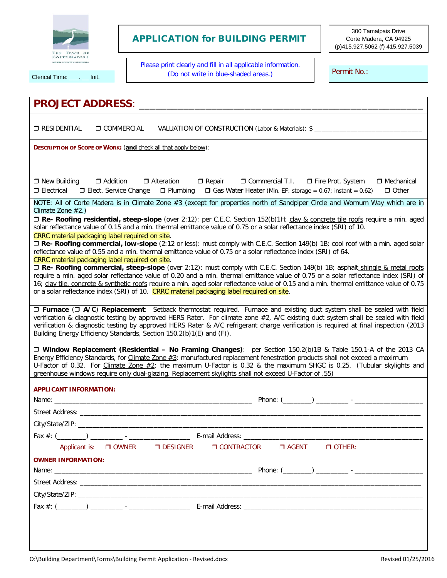

## APPLICATION for BUILDING PERMIT

300 Tamalpais Drive Corte Madera, CA 94925 (p)415.927.5062 (f) 415.927.5039

Please print clearly and fill in all applicable information. Clerical Time: \_\_\_. \_\_ Init. This contract the state of the contract of the contract of the clerical Time: \_\_\_. \_\_ Init. Permit No.:

| <b>PROJECT ADDRESS:</b>                                                                                                                                                                                                                                                                                                                                                                                                                                                                                      |  |  |  |  |  |
|--------------------------------------------------------------------------------------------------------------------------------------------------------------------------------------------------------------------------------------------------------------------------------------------------------------------------------------------------------------------------------------------------------------------------------------------------------------------------------------------------------------|--|--|--|--|--|
| <b>D</b> RESIDENTIAL<br>O COMMERCIAL<br>VALUATION OF CONSTRUCTION (Labor & Materials): \$                                                                                                                                                                                                                                                                                                                                                                                                                    |  |  |  |  |  |
| DESCRIPTION OF SCOPE OF WORK: (and check all that apply below):                                                                                                                                                                                                                                                                                                                                                                                                                                              |  |  |  |  |  |
|                                                                                                                                                                                                                                                                                                                                                                                                                                                                                                              |  |  |  |  |  |
| □ Addition<br>$\Box$ New Building<br>□ Alteration<br>$\Box$ Repair<br>□ Commercial T.I. □ Fire Prot. System<br>$\Box$ Mechanical<br>$\Box$ Electrical<br>$\Box$ Plumbing $\Box$ Gas Water Heater (Min. EF: storage = 0.67; instant = 0.62)<br>$\Box$ Other<br><b>D</b> Elect. Service Change                                                                                                                                                                                                                 |  |  |  |  |  |
| NOTE: All of Corte Madera is in Climate Zone #3 (except for properties north of Sandpiper Circle and Wornum Way which are in<br>Climate Zone $#2$ .)                                                                                                                                                                                                                                                                                                                                                         |  |  |  |  |  |
| □ Re- Roofing residential, steep-slope (over 2:12): per C.E.C. Section 152(b)1H; clay & concrete tile roofs require a min. aged<br>solar reflectance value of 0.15 and a min. thermal emittance value of 0.75 or a solar reflectance index (SRI) of 10.<br>CRRC material packaging label required on site.                                                                                                                                                                                                   |  |  |  |  |  |
| □ Re- Roofing commercial, low-slope (2:12 or less): must comply with C.E.C. Section 149(b) 1B; cool roof with a min. aged solar<br>reflectance value of 0.55 and a min. thermal emittance value of 0.75 or a solar reflectance index (SRI) of 64.<br>CRRC material packaging label required on site.                                                                                                                                                                                                         |  |  |  |  |  |
| □ Re- Roofing commercial, steep-slope (over 2:12): must comply with C.E.C. Section 149(b) 1B; asphalt_shingle & metal roofs<br>require a min. aged solar reflectance value of 0.20 and a min. thermal emittance value of 0.75 or a solar reflectance index (SRI) of<br>16; clay tile, concrete & synthetic roofs require a min. aged solar reflectance value of 0.15 and a min. thermal emittance value of 0.75<br>or a solar reflectance index (SRI) of 10. CRRC material packaging label required on site. |  |  |  |  |  |
| □ Furnace (□ A/C) Replacement: Setback thermostat required. Furnace and existing duct system shall be sealed with field<br>verification & diagnostic testing by approved HERS Rater. For climate zone #2, A/C existing duct system shall be sealed with field<br>verification & diagnostic testing by approved HERS Rater & A/C refrigerant charge verification is required at final inspection (2013<br>Building Energy Efficiency Standards, Section 150.2(b)1(E) and (F)).                                |  |  |  |  |  |
| □ Window Replacement (Residential – No Framing Changes): per Section 150.2(b)1B & Table 150.1-A of the 2013 CA<br>Energy Efficiency Standards, for Climate Zone #3: manufactured replacement fenestration products shall not exceed a maximum<br>U-Factor of 0.32. For Climate Zone #2: the maximum U-Factor is 0.32 & the maximum SHGC is 0.25. (Tubular skylights and<br>greenhouse windows require only dual-glazing. Replacement skylights shall not exceed U-Factor of .55)                             |  |  |  |  |  |
| <b>APPLICANT INFORMATION:</b>                                                                                                                                                                                                                                                                                                                                                                                                                                                                                |  |  |  |  |  |
| Phone: $(\_\_)$ __________ - ______                                                                                                                                                                                                                                                                                                                                                                                                                                                                          |  |  |  |  |  |
|                                                                                                                                                                                                                                                                                                                                                                                                                                                                                                              |  |  |  |  |  |
| City/State/ZIP:                                                                                                                                                                                                                                                                                                                                                                                                                                                                                              |  |  |  |  |  |
|                                                                                                                                                                                                                                                                                                                                                                                                                                                                                                              |  |  |  |  |  |
| Applicant is: $\Box$ OWNER<br>$\Box$ DESIGNER<br>$\Box$ CONTRACTOR $\Box$ AGENT<br>$\Box$ OTHER:                                                                                                                                                                                                                                                                                                                                                                                                             |  |  |  |  |  |
| <b>OWNER INFORMATION:</b>                                                                                                                                                                                                                                                                                                                                                                                                                                                                                    |  |  |  |  |  |
|                                                                                                                                                                                                                                                                                                                                                                                                                                                                                                              |  |  |  |  |  |
|                                                                                                                                                                                                                                                                                                                                                                                                                                                                                                              |  |  |  |  |  |
|                                                                                                                                                                                                                                                                                                                                                                                                                                                                                                              |  |  |  |  |  |
|                                                                                                                                                                                                                                                                                                                                                                                                                                                                                                              |  |  |  |  |  |
|                                                                                                                                                                                                                                                                                                                                                                                                                                                                                                              |  |  |  |  |  |
|                                                                                                                                                                                                                                                                                                                                                                                                                                                                                                              |  |  |  |  |  |